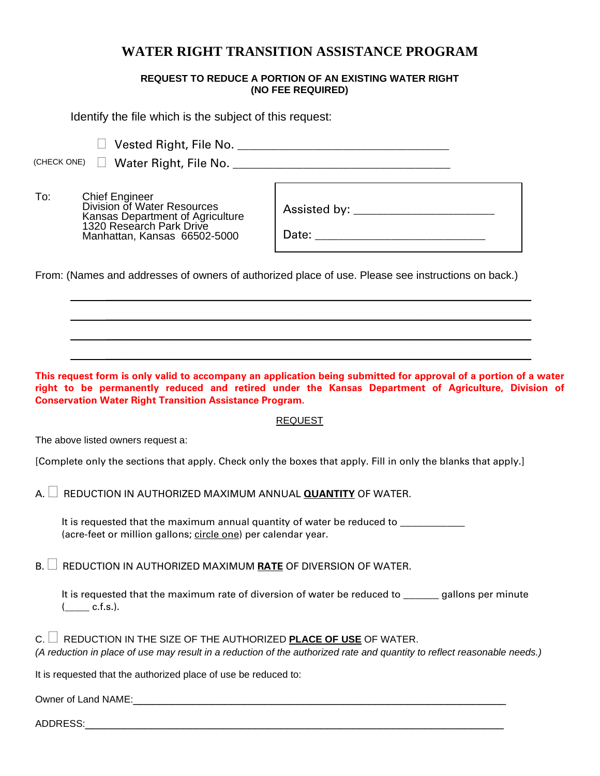# **WATER RIGHT TRANSITION ASSISTANCE PROGRAM**

## **REQUEST TO REDUCE A PORTION OF AN EXISTING WATER RIGHT (NO FEE REQUIRED)**

Identify the file which is the subject of this request:

Vested Right, File No. \_\_\_\_\_\_\_\_\_\_\_\_\_\_\_\_\_\_\_\_\_\_\_\_\_\_\_\_\_\_\_\_\_\_\_\_

(CHECK ONE) Water Right, File No. \_\_\_\_\_\_\_\_\_\_\_\_\_\_\_\_\_\_\_\_\_\_\_\_\_\_\_\_\_\_\_\_\_\_\_\_\_

To: Chief Engineer Division of Water Resources Kansas Department of Agriculture 1320 Research Park Drive Manhattan, Kansas 66502-5000

Assisted by: \_\_\_\_\_\_\_\_\_\_\_\_\_\_\_\_\_\_\_\_\_\_\_\_

Date:

\_\_\_\_\_\_\_\_\_\_\_\_\_\_\_\_\_\_\_\_\_\_\_\_\_\_\_\_\_\_\_\_\_\_\_\_\_\_\_\_\_\_\_\_\_\_\_\_\_\_\_\_\_\_\_\_\_\_\_\_\_\_\_\_\_\_\_\_\_\_\_

\_\_\_\_\_\_\_\_\_\_\_\_\_\_\_\_\_\_\_\_\_\_\_\_\_\_\_\_\_\_\_\_\_\_\_\_\_\_\_\_\_\_\_\_\_\_\_\_\_\_\_\_\_\_\_\_\_\_\_\_\_\_\_\_\_\_\_\_\_\_\_

 $\mathcal{L}_\mathcal{L} = \mathcal{L}_\mathcal{L} = \mathcal{L}_\mathcal{L} = \mathcal{L}_\mathcal{L} = \mathcal{L}_\mathcal{L} = \mathcal{L}_\mathcal{L} = \mathcal{L}_\mathcal{L} = \mathcal{L}_\mathcal{L} = \mathcal{L}_\mathcal{L} = \mathcal{L}_\mathcal{L} = \mathcal{L}_\mathcal{L} = \mathcal{L}_\mathcal{L} = \mathcal{L}_\mathcal{L} = \mathcal{L}_\mathcal{L} = \mathcal{L}_\mathcal{L} = \mathcal{L}_\mathcal{L} = \mathcal{L}_\mathcal{L}$ 

\_\_\_\_\_\_\_\_\_\_\_\_\_\_\_\_\_\_\_\_\_\_\_\_\_\_\_\_\_\_\_\_\_\_\_\_\_\_\_\_\_\_\_\_\_\_\_\_\_\_\_\_\_\_\_\_\_\_\_\_\_\_\_\_\_\_\_\_\_\_\_

From: (Names and addresses of owners of authorized place of use. Please see instructions on back.)

**This request form is only valid to accompany an application being submitted for approval of a portion of a water right to be permanently reduced and retired under the Kansas Department of Agriculture, Division of Conservation Water Right Transition Assistance Program.** 

### REQUEST

The above listed owners request a:

[Complete only the sections that apply. Check only the boxes that apply. Fill in only the blanks that apply.]

A. **REDUCTION IN AUTHORIZED MAXIMUM ANNUAL <b>QUANTITY** OF WATER.

It is requested that the maximum annual quantity of water be reduced to **ware** (acre-feet or million gallons; circle one) per calendar year.

 $B.$  **REDUCTION IN AUTHORIZED MAXIMUM RATE OF DIVERSION OF WATER.** 

It is requested that the maximum rate of diversion of water be reduced to equallons per minute  $($  c.f.s.).

 $C.$   $\Box$  REDUCTION IN THE SIZE OF THE AUTHORIZED **PLACE OF USE** OF WATER. *(A reduction in place of use may result in a reduction of the authorized rate and quantity to reflect reasonable needs.)*

It is requested that the authorized place of use be reduced to:

Owner of Land NAME:

ADDRESS:\_\_\_\_\_\_\_\_\_\_\_\_\_\_\_\_\_\_\_\_\_\_\_\_\_\_\_\_\_\_\_\_\_\_\_\_\_\_\_\_\_\_\_\_\_\_\_\_\_\_\_\_\_\_\_\_\_\_\_\_\_\_\_\_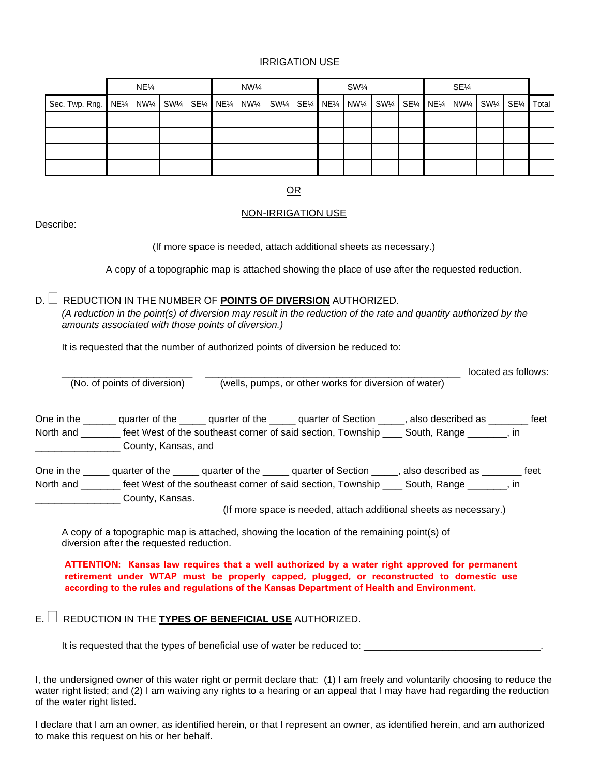### IRRIGATION USE

|                                                                                                                        | $NE\frac{1}{4}$ |  |  |  | $NW\frac{1}{4}$ |  |  | $SW\frac{1}{4}$ |  |  | $SE\frac{1}{4}$ |  |  |  |  |  |  |
|------------------------------------------------------------------------------------------------------------------------|-----------------|--|--|--|-----------------|--|--|-----------------|--|--|-----------------|--|--|--|--|--|--|
| Sec. Twp. Rng.   NE¼   NW¼   SW¼   SE¼   NE¼   NW¼   SW¼   SE¼   NE¼   NW¼   SW¼   SE¼   NW¼   SW¼   SW¼   SE¼   Total |                 |  |  |  |                 |  |  |                 |  |  |                 |  |  |  |  |  |  |
|                                                                                                                        |                 |  |  |  |                 |  |  |                 |  |  |                 |  |  |  |  |  |  |
|                                                                                                                        |                 |  |  |  |                 |  |  |                 |  |  |                 |  |  |  |  |  |  |
|                                                                                                                        |                 |  |  |  |                 |  |  |                 |  |  |                 |  |  |  |  |  |  |
|                                                                                                                        |                 |  |  |  |                 |  |  |                 |  |  |                 |  |  |  |  |  |  |

OR

#### NON-IRRIGATION USE

Describe:

(If more space is needed, attach additional sheets as necessary.)

A copy of a topographic map is attached showing the place of use after the requested reduction.

D. REDUCTION IN THE NUMBER OF **POINTS OF DIVERSION** AUTHORIZED.

*(A reduction in the point(s) of diversion may result in the reduction of the rate and quantity authorized by the amounts associated with those points of diversion.)* 

It is requested that the number of authorized points of diversion be reduced to:

|                                                                                                                                                                                                                                                                                         |                                                                   | located as follows: |
|-----------------------------------------------------------------------------------------------------------------------------------------------------------------------------------------------------------------------------------------------------------------------------------------|-------------------------------------------------------------------|---------------------|
| (No. of points of diversion)                                                                                                                                                                                                                                                            | (wells, pumps, or other works for diversion of water)             |                     |
|                                                                                                                                                                                                                                                                                         |                                                                   |                     |
| One in the ______ quarter of the _____ quarter of the _____ quarter of Section _____, also described as ______ feet                                                                                                                                                                     |                                                                   |                     |
| North and _______ feet West of the southeast corner of said section, Township ____ South, Range _______, in                                                                                                                                                                             |                                                                   |                     |
| County, Kansas, and                                                                                                                                                                                                                                                                     |                                                                   |                     |
| One in the ______ quarter of the ______ quarter of the ______ quarter of Section _____, also described as ________ feet                                                                                                                                                                 |                                                                   |                     |
| North and <u>entitled</u> the southeast corner of said section, Township entitled South, Range entitled by the southeast corner of said section, Township entitled South, Range                                                                                                         |                                                                   |                     |
| County, Kansas.                                                                                                                                                                                                                                                                         |                                                                   |                     |
|                                                                                                                                                                                                                                                                                         | (If more space is needed, attach additional sheets as necessary.) |                     |
| A copy of a topographic map is attached, showing the location of the remaining point(s) of                                                                                                                                                                                              |                                                                   |                     |
| diversion after the requested reduction.                                                                                                                                                                                                                                                |                                                                   |                     |
| ATTENTION: Kansas law requires that a well authorized by a water right approved for permanent<br>retirement under WTAP must be properly capped, plugged, or reconstructed to domestic use<br>according to the rules and regulations of the Kansas Department of Health and Environment. |                                                                   |                     |
| REDUCTION IN THE TYPES OF BENEFICIAL USE AUTHORIZED.                                                                                                                                                                                                                                    |                                                                   |                     |

It is requested that the types of beneficial use of water be reduced to: \_\_\_\_\_\_\_\_\_\_\_\_\_\_\_\_\_\_\_\_\_\_\_\_\_\_\_.

I, the undersigned owner of this water right or permit declare that: (1) I am freely and voluntarily choosing to reduce the water right listed; and (2) I am waiving any rights to a hearing or an appeal that I may have had regarding the reduction of the water right listed.

I declare that I am an owner, as identified herein, or that I represent an owner, as identified herein, and am authorized to make this request on his or her behalf.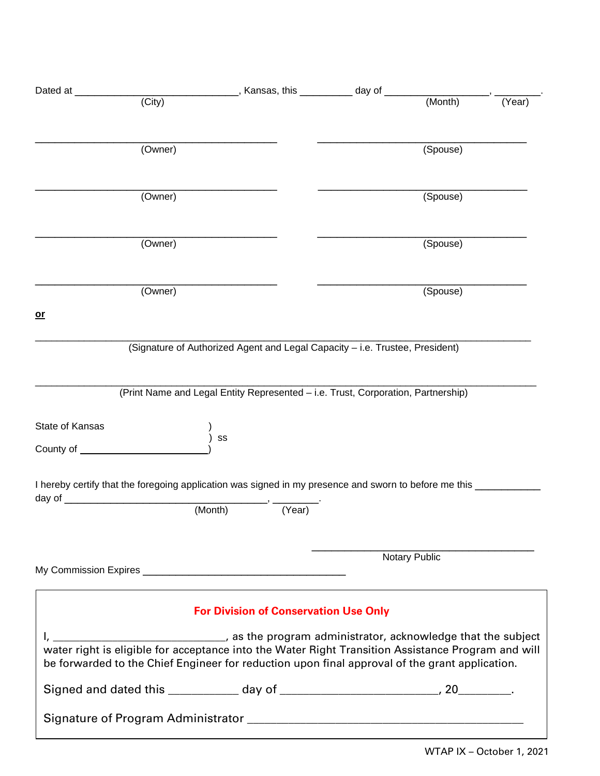| Dated at __                                                                                                                                                                                          |        | _, Kansas, this __________ day of __________                                     |        |
|------------------------------------------------------------------------------------------------------------------------------------------------------------------------------------------------------|--------|----------------------------------------------------------------------------------|--------|
| (City)                                                                                                                                                                                               |        | (Month)                                                                          | (Year) |
| (Owner)                                                                                                                                                                                              |        | (Spouse)                                                                         |        |
| (Owner)                                                                                                                                                                                              |        | (Spouse)                                                                         |        |
| (Owner)                                                                                                                                                                                              |        | (Spouse)                                                                         |        |
| (Owner)                                                                                                                                                                                              |        | (Spouse)                                                                         |        |
| $or$                                                                                                                                                                                                 |        |                                                                                  |        |
|                                                                                                                                                                                                      |        | (Signature of Authorized Agent and Legal Capacity - i.e. Trustee, President)     |        |
|                                                                                                                                                                                                      |        | (Print Name and Legal Entity Represented - i.e. Trust, Corporation, Partnership) |        |
| State of Kansas<br>SS                                                                                                                                                                                |        |                                                                                  |        |
| I hereby certify that the foregoing application was signed in my presence and sworn to before me this __<br>day of $\sqrt{2}$                                                                        |        |                                                                                  |        |
| (Month)                                                                                                                                                                                              | (Year) |                                                                                  |        |
|                                                                                                                                                                                                      |        | Notary Public                                                                    |        |
|                                                                                                                                                                                                      |        | <b>For Division of Conservation Use Only</b>                                     |        |
| water right is eligible for acceptance into the Water Right Transition Assistance Program and will<br>be forwarded to the Chief Engineer for reduction upon final approval of the grant application. |        | as the program administrator, acknowledge that the subject (and the subject      |        |
|                                                                                                                                                                                                      |        |                                                                                  |        |
|                                                                                                                                                                                                      |        |                                                                                  |        |